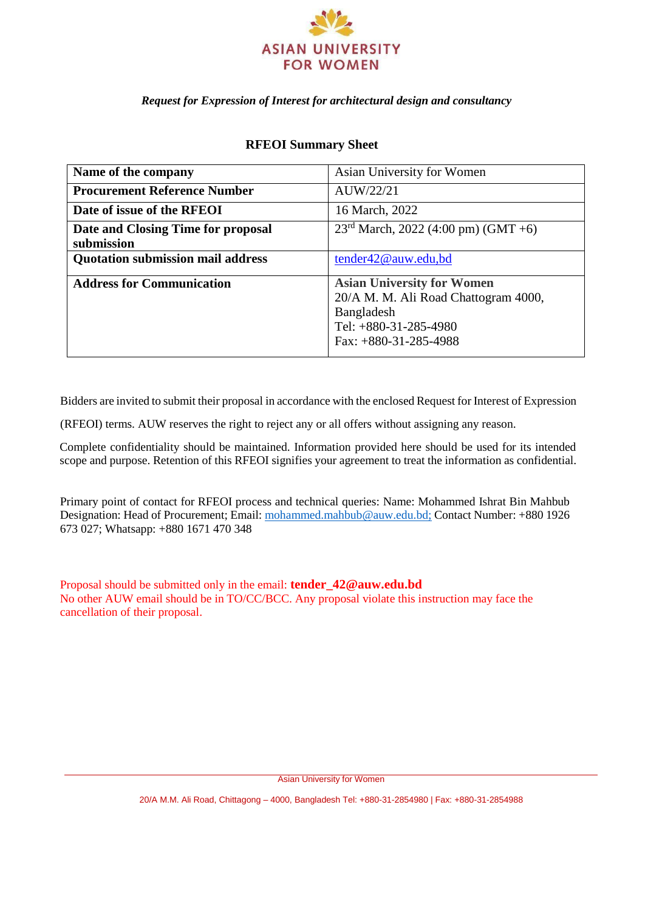

#### *Request for Expression of Interest for architectural design and consultancy*

| Name of the company                              | Asian University for Women                                                                                                                    |  |  |
|--------------------------------------------------|-----------------------------------------------------------------------------------------------------------------------------------------------|--|--|
| <b>Procurement Reference Number</b>              | AUW/22/21                                                                                                                                     |  |  |
| Date of issue of the RFEOI                       | 16 March, 2022                                                                                                                                |  |  |
| Date and Closing Time for proposal<br>submission | $23^{\text{rd}}$ March, 2022 (4:00 pm) (GMT +6)                                                                                               |  |  |
| <b>Quotation submission mail address</b>         | tender42@auw.edu,bd                                                                                                                           |  |  |
| <b>Address for Communication</b>                 | <b>Asian University for Women</b><br>20/A M. M. Ali Road Chattogram 4000,<br>Bangladesh<br>Tel: $+880-31-285-4980$<br>Fax: $+880-31-285-4988$ |  |  |

#### **RFEOI Summary Sheet**

Bidders are invited to submit their proposal in accordance with the enclosed Request for Interest of Expression

(RFEOI) terms. AUW reserves the right to reject any or all offers without assigning any reason.

Complete confidentiality should be maintained. Information provided here should be used for its intended scope and purpose. Retention of this RFEOI signifies your agreement to treat the information as confidential.

Primary point of contact for RFEOI process and technical queries: Name: Mohammed Ishrat Bin Mahbub Designation: Head of Procurement; Email[: mohammed.mahbub@auw.edu.bd;](mailto:mohammed.mahbub@auw.edu.bd) Contact Number: +880 1926 673 027; Whatsapp: +880 1671 470 348

Proposal should be submitted only in the email: **tender\_42@auw.edu.bd** No other AUW email should be in TO/CC/BCC. Any proposal violate this instruction may face the cancellation of their proposal.

Asian University for Women

20/A M.M. Ali Road, Chittagong – 4000, Bangladesh Tel: +880-31-2854980 | Fax: +880-31-2854988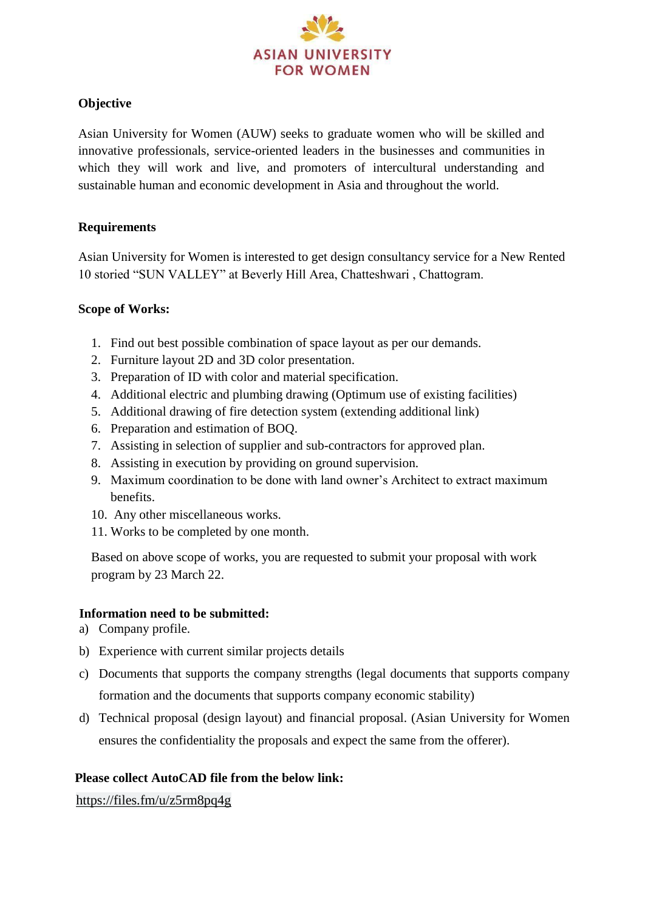

# **Objective**

Asian University for Women (AUW) seeks to graduate women who will be skilled and innovative professionals, service-oriented leaders in the businesses and communities in which they will work and live, and promoters of intercultural understanding and sustainable human and economic development in Asia and throughout the world.

## **Requirements**

Asian University for Women is interested to get design consultancy service for a New Rented 10 storied "SUN VALLEY" at Beverly Hill Area, Chatteshwari , Chattogram.

## **Scope of Works:**

- 1. Find out best possible combination of space layout as per our demands.
- 2. Furniture layout 2D and 3D color presentation.
- 3. Preparation of ID with color and material specification.
- 4. Additional electric and plumbing drawing (Optimum use of existing facilities)
- 5. Additional drawing of fire detection system (extending additional link)
- 6. Preparation and estimation of BOQ.
- 7. Assisting in selection of supplier and sub-contractors for approved plan.
- 8. Assisting in execution by providing on ground supervision.
- 9. Maximum coordination to be done with land owner's Architect to extract maximum benefits.
- 10. Any other miscellaneous works.
- 11. Works to be completed by one month.

Based on above scope of works, you are requested to submit your proposal with work program by 23 March 22.

## **Information need to be submitted:**

- a) Company profile.
- b) Experience with current similar projects details
- c) Documents that supports the company strengths (legal documents that supports company formation and the documents that supports company economic stability)
- d) Technical proposal (design layout) and financial proposal. (Asian University for Women ensures the confidentiality the proposals and expect the same from the offerer).

## **Please collect AutoCAD file from the below link:**

<https://files.fm/u/z5rm8pq4g>